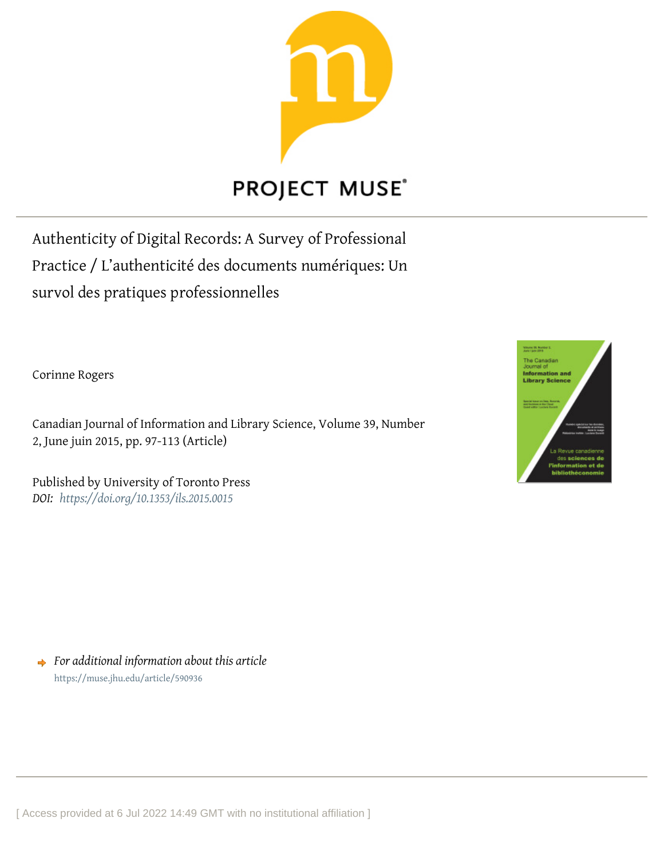

# **PROJECT MUSE®**

Authenticity of Digital Records: A Survey of Professional Practice / L'authenticité des documents numériques: Un survol des pratiques professionnelles

Corinne Rogers

Canadian Journal of Information and Library Science, Volume 39, Number 2, June juin 2015, pp. 97-113 (Article)

Published by University of Toronto Press *DOI: <https://doi.org/10.1353/ils.2015.0015>*



*For additional information about this article* <https://muse.jhu.edu/article/590936>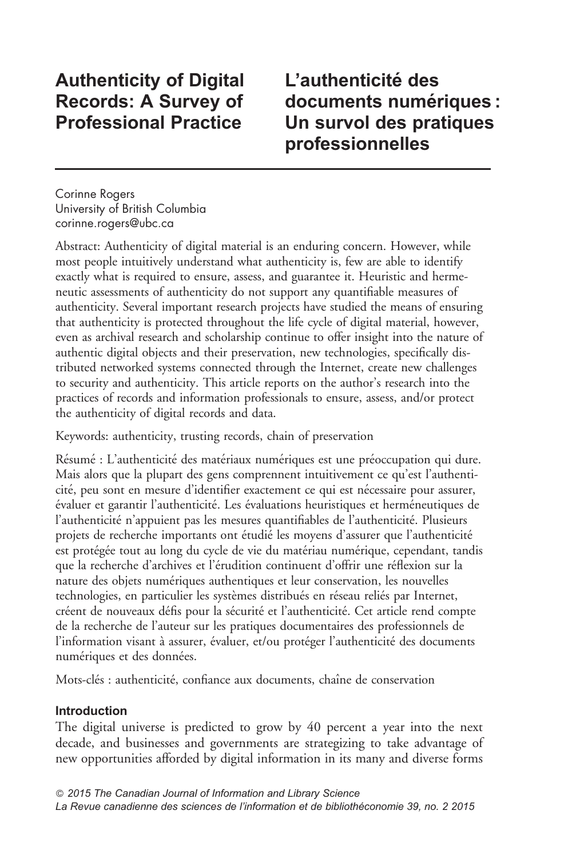# Authenticity of Digital Records: A Survey of Professional Practice

L'authenticité des documents numériques : Un survol des pratiques professionnelles

Corinne Rogers University of British Columbia <corinne.rogers@ubc.ca>

Abstract: Authenticity of digital material is an enduring concern. However, while most people intuitively understand what authenticity is, few are able to identify exactly what is required to ensure, assess, and guarantee it. Heuristic and hermeneutic assessments of authenticity do not support any quantifiable measures of authenticity. Several important research projects have studied the means of ensuring that authenticity is protected throughout the life cycle of digital material, however, even as archival research and scholarship continue to offer insight into the nature of authentic digital objects and their preservation, new technologies, specifically distributed networked systems connected through the Internet, create new challenges to security and authenticity. This article reports on the author's research into the practices of records and information professionals to ensure, assess, and/or protect the authenticity of digital records and data.

Keywords: authenticity, trusting records, chain of preservation

Résumé : L'authenticité des matériaux numériques est une préoccupation qui dure. Mais alors que la plupart des gens comprennent intuitivement ce qu'est l'authenticité, peu sont en mesure d'identifier exactement ce qui est nécessaire pour assurer, évaluer et garantir l'authenticité. Les évaluations heuristiques et herméneutiques de l'authenticité n'appuient pas les mesures quantifiables de l'authenticité. Plusieurs projets de recherche importants ont étudié les moyens d'assurer que l'authenticité est protégée tout au long du cycle de vie du matériau numérique, cependant, tandis que la recherche d'archives et l'érudition continuent d'offrir une réflexion sur la nature des objets numériques authentiques et leur conservation, les nouvelles technologies, en particulier les systèmes distribués en réseau reliés par Internet, créent de nouveaux défis pour la sécurité et l'authenticité. Cet article rend compte de la recherche de l'auteur sur les pratiques documentaires des professionnels de l'information visant à assurer, évaluer, et/ou protéger l'authenticité des documents numériques et des données.

Mots-clés : authenticité, confiance aux documents, chaîne de conservation

# Introduction

The digital universe is predicted to grow by 40 percent a year into the next decade, and businesses and governments are strategizing to take advantage of new opportunities afforded by digital information in its many and diverse forms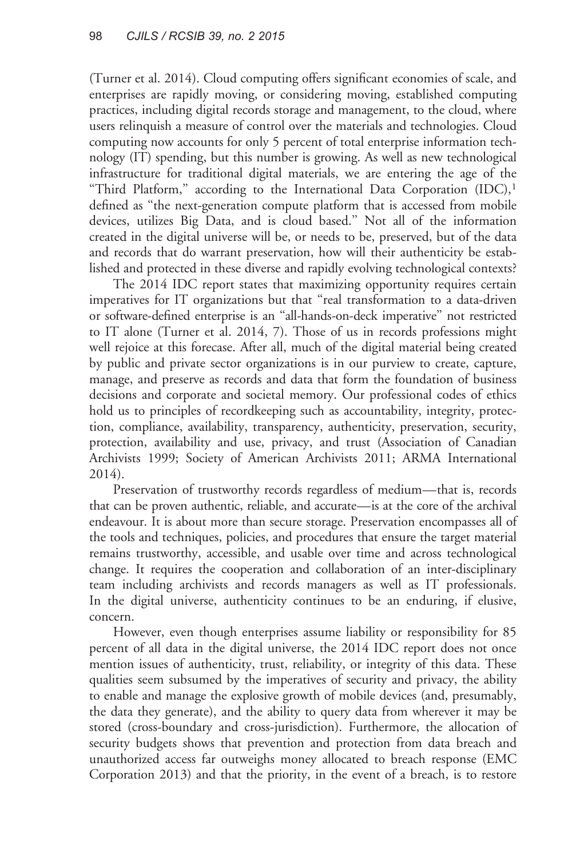([Turner et al. 2014\)](#page-14-0). Cloud computing offers significant economies of scale, and enterprises are rapidly moving, or considering moving, established computing practices, including digital records storage and management, to the cloud, where users relinquish a measure of control over the materials and technologies. Cloud computing now accounts for only 5 percent of total enterprise information technology (IT) spending, but this number is growing. As well as new technological infrastructure for traditional digital materials, we are entering the age of the "Third Platform," according to the International Data Corporation  $(IDC<sub>1</sub><sup>1</sup>$ defined as ''the next-generation compute platform that is accessed from mobile devices, utilizes Big Data, and is cloud based.'' Not all of the information created in the digital universe will be, or needs to be, preserved, but of the data and records that do warrant preservation, how will their authenticity be established and protected in these diverse and rapidly evolving technological contexts?

The 2014 IDC report states that maximizing opportunity requires certain imperatives for IT organizations but that ''real transformation to a data-driven or software-defined enterprise is an ''all-hands-on-deck imperative'' not restricted to IT alone [\(Turner et al. 2014,](#page-14-0) 7). Those of us in records professions might well rejoice at this forecase. After all, much of the digital material being created by public and private sector organizations is in our purview to create, capture, manage, and preserve as records and data that form the foundation of business decisions and corporate and societal memory. Our professional codes of ethics hold us to principles of recordkeeping such as accountability, integrity, protection, compliance, availability, transparency, authenticity, preservation, security, protection, availability and use, privacy, and trust (Association of Canadian Archivists 1999; [Society of American Archivists 2011](#page-14-0); [ARMA International](#page-12-0) [2014](#page-12-0)).

Preservation of trustworthy records regardless of medium—that is, records that can be proven authentic, reliable, and accurate—is at the core of the archival endeavour. It is about more than secure storage. Preservation encompasses all of the tools and techniques, policies, and procedures that ensure the target material remains trustworthy, accessible, and usable over time and across technological change. It requires the cooperation and collaboration of an inter-disciplinary team including archivists and records managers as well as IT professionals. In the digital universe, authenticity continues to be an enduring, if elusive, concern.

However, even though enterprises assume liability or responsibility for 85 percent of all data in the digital universe, the 2014 IDC report does not once mention issues of authenticity, trust, reliability, or integrity of this data. These qualities seem subsumed by the imperatives of security and privacy, the ability to enable and manage the explosive growth of mobile devices (and, presumably, the data they generate), and the ability to query data from wherever it may be stored (cross-boundary and cross-jurisdiction). Furthermore, the allocation of security budgets shows that prevention and protection from data breach and unauthorized access far outweighs money allocated to breach response [\(EMC](#page-13-0) [Corporation 2013](#page-13-0)) and that the priority, in the event of a breach, is to restore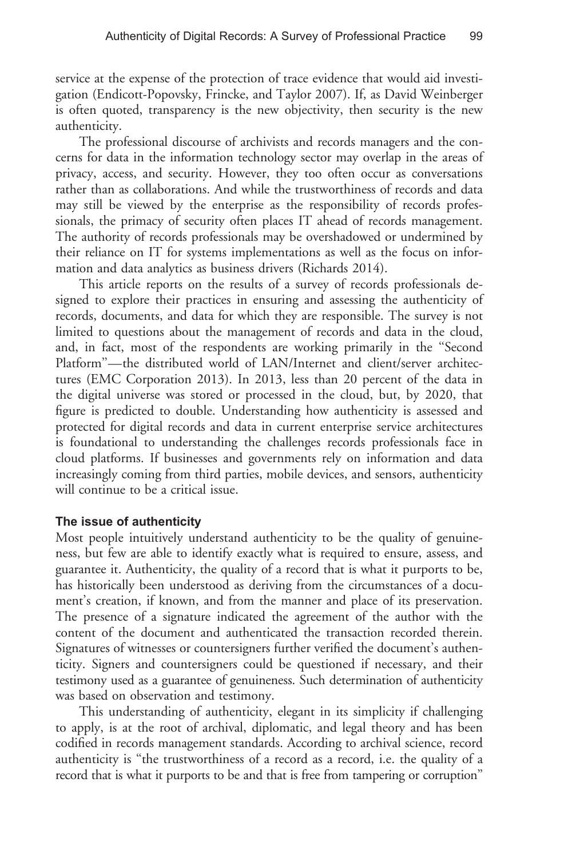service at the expense of the protection of trace evidence that would aid investigation ([Endicott-Popovsky, Frincke, and Taylor 2007\)](#page-13-0). If, as David Weinberger is often quoted, transparency is the new objectivity, then security is the new authenticity.

The professional discourse of archivists and records managers and the concerns for data in the information technology sector may overlap in the areas of privacy, access, and security. However, they too often occur as conversations rather than as collaborations. And while the trustworthiness of records and data may still be viewed by the enterprise as the responsibility of records professionals, the primacy of security often places IT ahead of records management. The authority of records professionals may be overshadowed or undermined by their reliance on IT for systems implementations as well as the focus on information and data analytics as business drivers [\(Richards 2014\)](#page-14-0).

This article reports on the results of a survey of records professionals designed to explore their practices in ensuring and assessing the authenticity of records, documents, and data for which they are responsible. The survey is not limited to questions about the management of records and data in the cloud, and, in fact, most of the respondents are working primarily in the ''Second Platform''—the distributed world of LAN/Internet and client/server architectures [\(EMC Corporation 2013\)](#page-13-0). In 2013, less than 20 percent of the data in the digital universe was stored or processed in the cloud, but, by 2020, that figure is predicted to double. Understanding how authenticity is assessed and protected for digital records and data in current enterprise service architectures is foundational to understanding the challenges records professionals face in cloud platforms. If businesses and governments rely on information and data increasingly coming from third parties, mobile devices, and sensors, authenticity will continue to be a critical issue.

### The issue of authenticity

Most people intuitively understand authenticity to be the quality of genuineness, but few are able to identify exactly what is required to ensure, assess, and guarantee it. Authenticity, the quality of a record that is what it purports to be, has historically been understood as deriving from the circumstances of a document's creation, if known, and from the manner and place of its preservation. The presence of a signature indicated the agreement of the author with the content of the document and authenticated the transaction recorded therein. Signatures of witnesses or countersigners further verified the document's authenticity. Signers and countersigners could be questioned if necessary, and their testimony used as a guarantee of genuineness. Such determination of authenticity was based on observation and testimony.

This understanding of authenticity, elegant in its simplicity if challenging to apply, is at the root of archival, diplomatic, and legal theory and has been codified in records management standards. According to archival science, record authenticity is ''the trustworthiness of a record as a record, i.e. the quality of a record that is what it purports to be and that is free from tampering or corruption''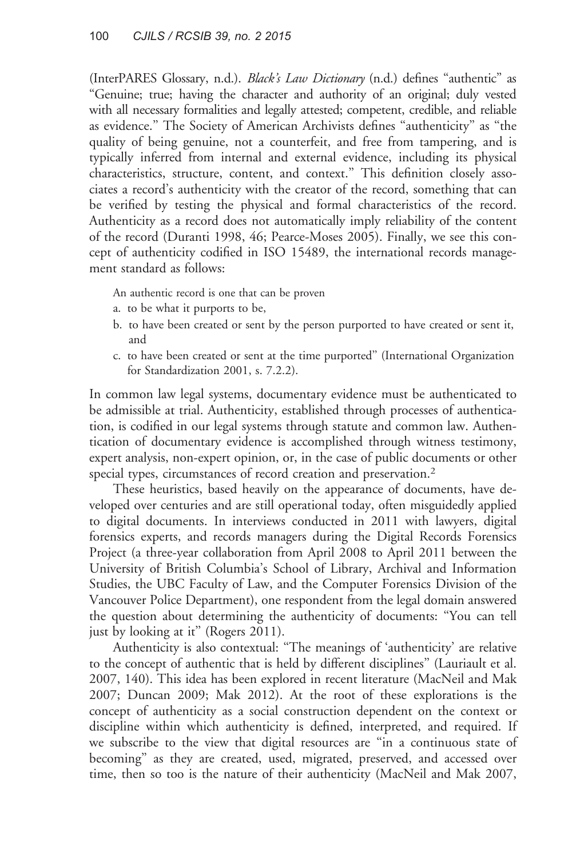[\(InterPARES Glossary, n.d.\)](#page-13-0). Black's Law Dictionary (n.d.) defines ''authentic'' as ''Genuine; true; having the character and authority of an original; duly vested with all necessary formalities and legally attested; competent, credible, and reliable as evidence.'' The Society of American Archivists defines ''authenticity'' as ''the quality of being genuine, not a counterfeit, and free from tampering, and is typically inferred from internal and external evidence, including its physical characteristics, structure, content, and context.'' This definition closely associates a record's authenticity with the creator of the record, something that can be verified by testing the physical and formal characteristics of the record. Authenticity as a record does not automatically imply reliability of the content of the record (Duranti 1998, 46; [Pearce-Moses 2005](#page-14-0)). Finally, we see this concept of authenticity codified in ISO 15489, the international records management standard as follows:

An authentic record is one that can be proven

- a. to be what it purports to be,
- b. to have been created or sent by the person purported to have created or sent it, and
- c. to have been created or sent at the time purported'' ([International Organization](#page-13-0) [for Standardization 2001,](#page-13-0) s. 7.2.2).

In common law legal systems, documentary evidence must be authenticated to be admissible at trial. Authenticity, established through processes of authentication, is codified in our legal systems through statute and common law. Authentication of documentary evidence is accomplished through witness testimony, expert analysis, non-expert opinion, or, in the case of public documents or other special types, circumstances of record creation and preservation.<sup>2</sup>

These heuristics, based heavily on the appearance of documents, have developed over centuries and are still operational today, often misguidedly applied to digital documents. In interviews conducted in 2011 with lawyers, digital forensics experts, and records managers during the Digital Records Forensics Project (a three-year collaboration from April 2008 to April 2011 between the University of British Columbia's School of Library, Archival and Information Studies, the UBC Faculty of Law, and the Computer Forensics Division of the Vancouver Police Department), one respondent from the legal domain answered the question about determining the authenticity of documents: ''You can tell just by looking at it" [\(Rogers 2011](#page-14-0)).

Authenticity is also contextual: ''The meanings of 'authenticity' are relative to the concept of authentic that is held by different disciplines'' ([Lauriault et al.](#page-13-0) [2007](#page-13-0), 140). This idea has been explored in recent literature [\(MacNeil and Mak](#page-14-0) [2007](#page-14-0); [Duncan 2009](#page-12-0); [Mak 2012\)](#page-14-0). At the root of these explorations is the concept of authenticity as a social construction dependent on the context or discipline within which authenticity is defined, interpreted, and required. If we subscribe to the view that digital resources are ''in a continuous state of becoming'' as they are created, used, migrated, preserved, and accessed over time, then so too is the nature of their authenticity ([MacNeil and Mak 2007,](#page-14-0)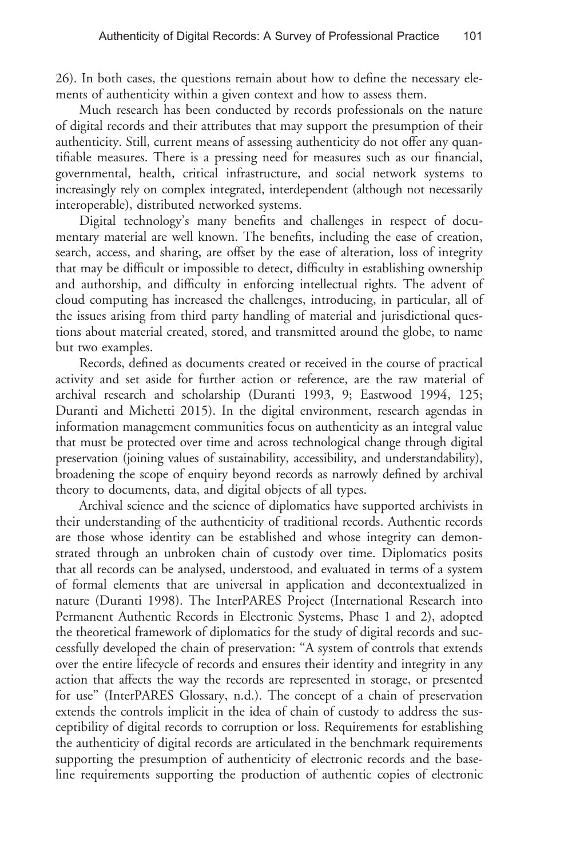26). In both cases, the questions remain about how to define the necessary elements of authenticity within a given context and how to assess them.

Much research has been conducted by records professionals on the nature of digital records and their attributes that may support the presumption of their authenticity. Still, current means of assessing authenticity do not offer any quantifiable measures. There is a pressing need for measures such as our financial, governmental, health, critical infrastructure, and social network systems to increasingly rely on complex integrated, interdependent (although not necessarily interoperable), distributed networked systems.

Digital technology's many benefits and challenges in respect of documentary material are well known. The benefits, including the ease of creation, search, access, and sharing, are offset by the ease of alteration, loss of integrity that may be difficult or impossible to detect, difficulty in establishing ownership and authorship, and difficulty in enforcing intellectual rights. The advent of cloud computing has increased the challenges, introducing, in particular, all of the issues arising from third party handling of material and jurisdictional questions about material created, stored, and transmitted around the globe, to name but two examples.

Records, defined as documents created or received in the course of practical activity and set aside for further action or reference, are the raw material of archival research and scholarship ([Duranti 1993,](#page-12-0) 9; [Eastwood 1994,](#page-13-0) 125; [Duranti and Michetti 2015](#page-13-0)). In the digital environment, research agendas in information management communities focus on authenticity as an integral value that must be protected over time and across technological change through digital preservation (joining values of sustainability, accessibility, and understandability), broadening the scope of enquiry beyond records as narrowly defined by archival theory to documents, data, and digital objects of all types.

Archival science and the science of diplomatics have supported archivists in their understanding of the authenticity of traditional records. Authentic records are those whose identity can be established and whose integrity can demonstrated through an unbroken chain of custody over time. Diplomatics posits that all records can be analysed, understood, and evaluated in terms of a system of formal elements that are universal in application and decontextualized in nature (Duranti 1998). The InterPARES Project (International Research into Permanent Authentic Records in Electronic Systems, Phase 1 and 2), adopted the theoretical framework of diplomatics for the study of digital records and successfully developed the chain of preservation: ''A system of controls that extends over the entire lifecycle of records and ensures their identity and integrity in any action that affects the way the records are represented in storage, or presented for use'' ([InterPARES Glossary, n.d.](#page-13-0)). The concept of a chain of preservation extends the controls implicit in the idea of chain of custody to address the susceptibility of digital records to corruption or loss. Requirements for establishing the authenticity of digital records are articulated in the benchmark requirements supporting the presumption of authenticity of electronic records and the baseline requirements supporting the production of authentic copies of electronic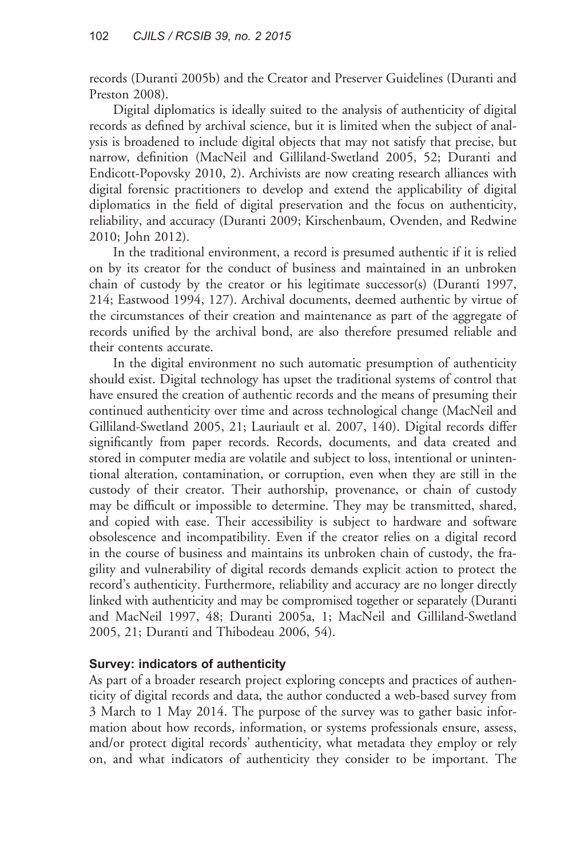records (Duranti 2005b) and the Creator and Preserver Guidelines [\(Duranti and](#page-13-0) [Preston 2008\)](#page-13-0).

Digital diplomatics is ideally suited to the analysis of authenticity of digital records as defined by archival science, but it is limited when the subject of analysis is broadened to include digital objects that may not satisfy that precise, but narrow, definition ([MacNeil and Gilliland-Swetland 2005](#page-13-0), 52; [Duranti and](#page-13-0) [Endicott-Popovsky 2010,](#page-13-0) 2). Archivists are now creating research alliances with digital forensic practitioners to develop and extend the applicability of digital diplomatics in the field of digital preservation and the focus on authenticity, reliability, and accuracy (Duranti 2009; [Kirschenbaum, Ovenden, and Redwine](#page-13-0) [2010](#page-13-0); [John 2012](#page-13-0)).

In the traditional environment, a record is presumed authentic if it is relied on by its creator for the conduct of business and maintained in an unbroken chain of custody by the creator or his legitimate successor(s) (Duranti 1997, 214; [Eastwood 1994,](#page-13-0) 127). Archival documents, deemed authentic by virtue of the circumstances of their creation and maintenance as part of the aggregate of records unified by the archival bond, are also therefore presumed reliable and their contents accurate.

In the digital environment no such automatic presumption of authenticity should exist. Digital technology has upset the traditional systems of control that have ensured the creation of authentic records and the means of presuming their continued authenticity over time and across technological change [\(MacNeil and](#page-13-0) [Gilliland-Swetland 2005,](#page-13-0) 21; [Lauriault et al. 2007](#page-13-0), 140). Digital records differ significantly from paper records. Records, documents, and data created and stored in computer media are volatile and subject to loss, intentional or unintentional alteration, contamination, or corruption, even when they are still in the custody of their creator. Their authorship, provenance, or chain of custody may be difficult or impossible to determine. They may be transmitted, shared, and copied with ease. Their accessibility is subject to hardware and software obsolescence and incompatibility. Even if the creator relies on a digital record in the course of business and maintains its unbroken chain of custody, the fragility and vulnerability of digital records demands explicit action to protect the record's authenticity. Furthermore, reliability and accuracy are no longer directly linked with authenticity and may be compromised together or separately ([Duranti](#page-13-0) [and MacNeil 1997,](#page-13-0) 48; Duranti 2005a, 1; [MacNeil and Gilliland-Swetland](#page-13-0) [2005](#page-13-0), 21; [Duranti and Thibodeau 2006](#page-13-0), 54).

# Survey: indicators of authenticity

As part of a broader research project exploring concepts and practices of authenticity of digital records and data, the author conducted a web-based survey from 3 March to 1 May 2014. The purpose of the survey was to gather basic information about how records, information, or systems professionals ensure, assess, and/or protect digital records' authenticity, what metadata they employ or rely on, and what indicators of authenticity they consider to be important. The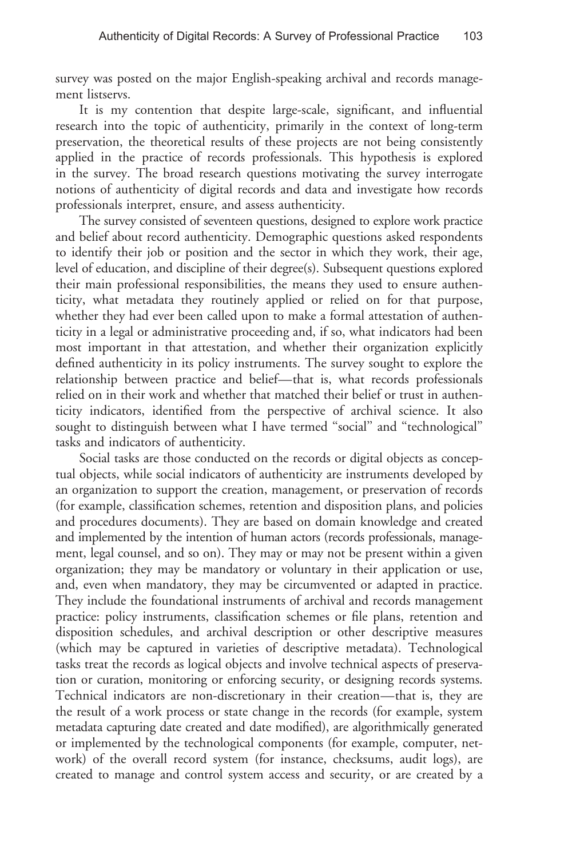survey was posted on the major English-speaking archival and records management listservs.

It is my contention that despite large-scale, significant, and influential research into the topic of authenticity, primarily in the context of long-term preservation, the theoretical results of these projects are not being consistently applied in the practice of records professionals. This hypothesis is explored in the survey. The broad research questions motivating the survey interrogate notions of authenticity of digital records and data and investigate how records professionals interpret, ensure, and assess authenticity.

The survey consisted of seventeen questions, designed to explore work practice and belief about record authenticity. Demographic questions asked respondents to identify their job or position and the sector in which they work, their age, level of education, and discipline of their degree(s). Subsequent questions explored their main professional responsibilities, the means they used to ensure authenticity, what metadata they routinely applied or relied on for that purpose, whether they had ever been called upon to make a formal attestation of authenticity in a legal or administrative proceeding and, if so, what indicators had been most important in that attestation, and whether their organization explicitly defined authenticity in its policy instruments. The survey sought to explore the relationship between practice and belief—that is, what records professionals relied on in their work and whether that matched their belief or trust in authenticity indicators, identified from the perspective of archival science. It also sought to distinguish between what I have termed "social" and "technological" tasks and indicators of authenticity.

Social tasks are those conducted on the records or digital objects as conceptual objects, while social indicators of authenticity are instruments developed by an organization to support the creation, management, or preservation of records (for example, classification schemes, retention and disposition plans, and policies and procedures documents). They are based on domain knowledge and created and implemented by the intention of human actors (records professionals, management, legal counsel, and so on). They may or may not be present within a given organization; they may be mandatory or voluntary in their application or use, and, even when mandatory, they may be circumvented or adapted in practice. They include the foundational instruments of archival and records management practice: policy instruments, classification schemes or file plans, retention and disposition schedules, and archival description or other descriptive measures (which may be captured in varieties of descriptive metadata). Technological tasks treat the records as logical objects and involve technical aspects of preservation or curation, monitoring or enforcing security, or designing records systems. Technical indicators are non-discretionary in their creation—that is, they are the result of a work process or state change in the records (for example, system metadata capturing date created and date modified), are algorithmically generated or implemented by the technological components (for example, computer, network) of the overall record system (for instance, checksums, audit logs), are created to manage and control system access and security, or are created by a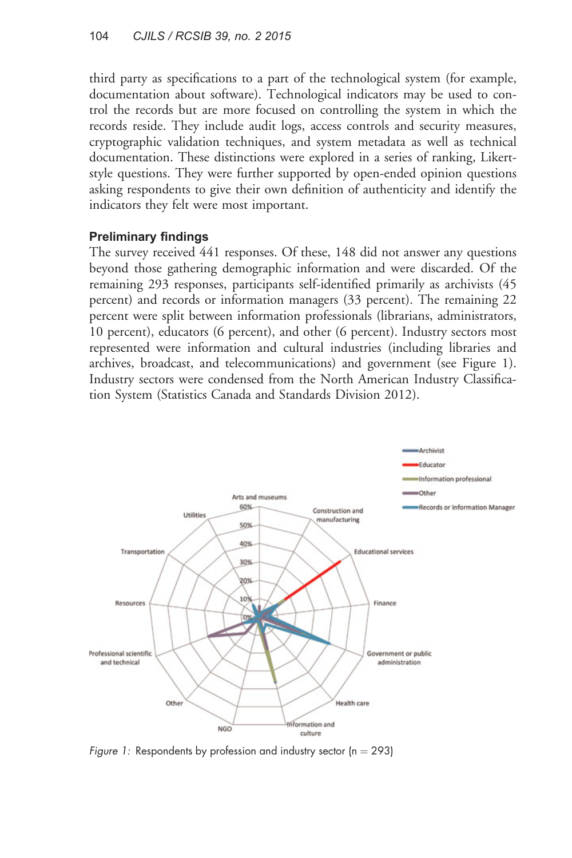third party as specifications to a part of the technological system (for example, documentation about software). Technological indicators may be used to control the records but are more focused on controlling the system in which the records reside. They include audit logs, access controls and security measures, cryptographic validation techniques, and system metadata as well as technical documentation. These distinctions were explored in a series of ranking, Likertstyle questions. They were further supported by open-ended opinion questions asking respondents to give their own definition of authenticity and identify the indicators they felt were most important.

# Preliminary findings

The survey received 441 responses. Of these, 148 did not answer any questions beyond those gathering demographic information and were discarded. Of the remaining 293 responses, participants self-identified primarily as archivists (45 percent) and records or information managers (33 percent). The remaining 22 percent were split between information professionals (librarians, administrators, 10 percent), educators (6 percent), and other (6 percent). Industry sectors most represented were information and cultural industries (including libraries and archives, broadcast, and telecommunications) and government (see Figure 1). Industry sectors were condensed from the North American Industry Classification System ([Statistics Canada and Standards Division 2012](#page-14-0)).



Figure 1: Respondents by profession and industry sector  $(n = 293)$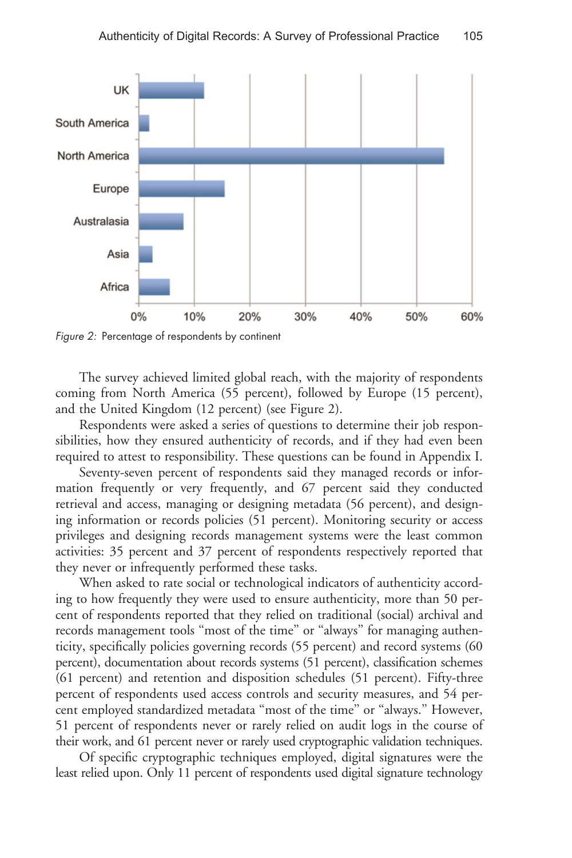

Figure 2: Percentage of respondents by continent

The survey achieved limited global reach, with the majority of respondents coming from North America (55 percent), followed by Europe (15 percent), and the United Kingdom (12 percent) (see Figure 2).

Respondents were asked a series of questions to determine their job responsibilities, how they ensured authenticity of records, and if they had even been required to attest to responsibility. These questions can be found in Appendix I.

Seventy-seven percent of respondents said they managed records or information frequently or very frequently, and 67 percent said they conducted retrieval and access, managing or designing metadata (56 percent), and designing information or records policies (51 percent). Monitoring security or access privileges and designing records management systems were the least common activities: 35 percent and 37 percent of respondents respectively reported that they never or infrequently performed these tasks.

When asked to rate social or technological indicators of authenticity according to how frequently they were used to ensure authenticity, more than 50 percent of respondents reported that they relied on traditional (social) archival and records management tools ''most of the time'' or ''always'' for managing authenticity, specifically policies governing records (55 percent) and record systems (60 percent), documentation about records systems (51 percent), classification schemes (61 percent) and retention and disposition schedules (51 percent). Fifty-three percent of respondents used access controls and security measures, and 54 percent employed standardized metadata ''most of the time'' or ''always.'' However, 51 percent of respondents never or rarely relied on audit logs in the course of their work, and 61 percent never or rarely used cryptographic validation techniques.

Of specific cryptographic techniques employed, digital signatures were the least relied upon. Only 11 percent of respondents used digital signature technology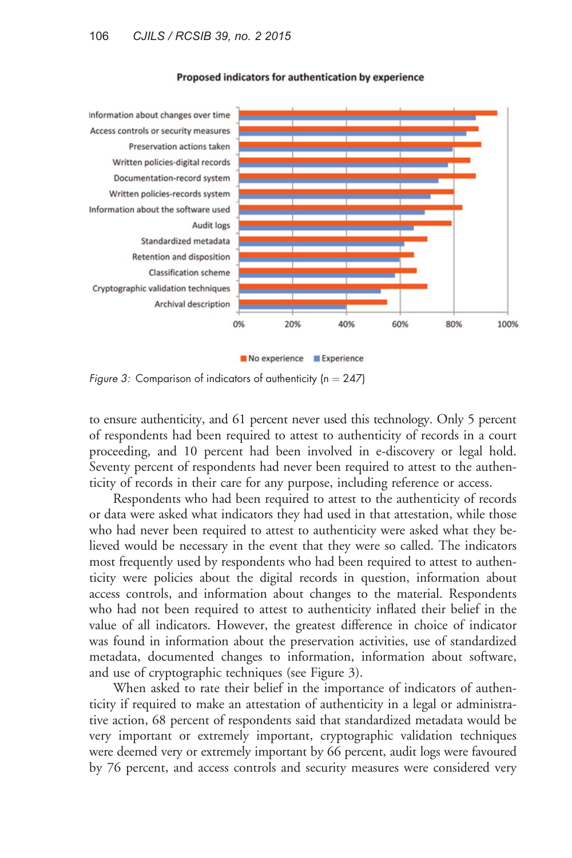

#### Proposed indicators for authentication by experience

No experience Experience

Figure 3: Comparison of indicators of authenticity ( $n = 247$ )

to ensure authenticity, and 61 percent never used this technology. Only 5 percent of respondents had been required to attest to authenticity of records in a court proceeding, and 10 percent had been involved in e-discovery or legal hold. Seventy percent of respondents had never been required to attest to the authenticity of records in their care for any purpose, including reference or access.

Respondents who had been required to attest to the authenticity of records or data were asked what indicators they had used in that attestation, while those who had never been required to attest to authenticity were asked what they believed would be necessary in the event that they were so called. The indicators most frequently used by respondents who had been required to attest to authenticity were policies about the digital records in question, information about access controls, and information about changes to the material. Respondents who had not been required to attest to authenticity inflated their belief in the value of all indicators. However, the greatest difference in choice of indicator was found in information about the preservation activities, use of standardized metadata, documented changes to information, information about software, and use of cryptographic techniques (see Figure 3).

When asked to rate their belief in the importance of indicators of authenticity if required to make an attestation of authenticity in a legal or administrative action, 68 percent of respondents said that standardized metadata would be very important or extremely important, cryptographic validation techniques were deemed very or extremely important by 66 percent, audit logs were favoured by 76 percent, and access controls and security measures were considered very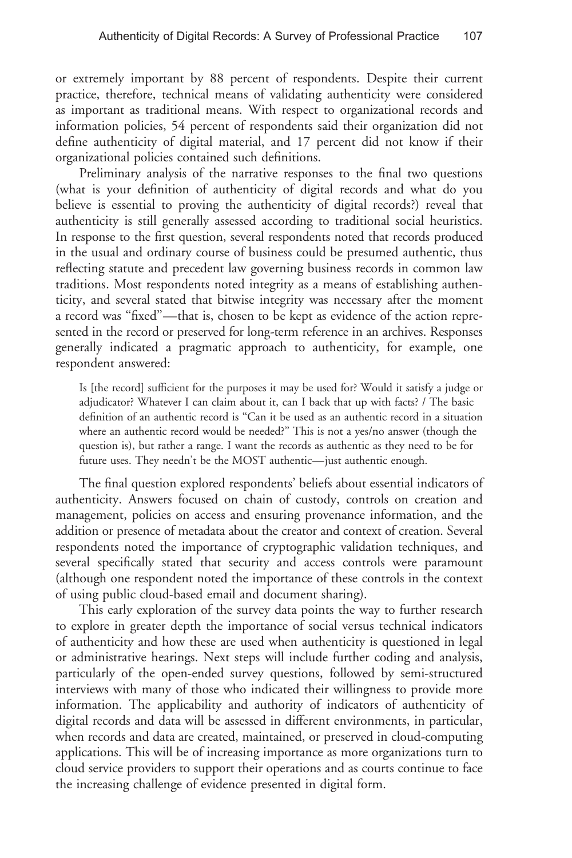or extremely important by 88 percent of respondents. Despite their current practice, therefore, technical means of validating authenticity were considered as important as traditional means. With respect to organizational records and information policies, 54 percent of respondents said their organization did not define authenticity of digital material, and 17 percent did not know if their organizational policies contained such definitions.

Preliminary analysis of the narrative responses to the final two questions (what is your definition of authenticity of digital records and what do you believe is essential to proving the authenticity of digital records?) reveal that authenticity is still generally assessed according to traditional social heuristics. In response to the first question, several respondents noted that records produced in the usual and ordinary course of business could be presumed authentic, thus reflecting statute and precedent law governing business records in common law traditions. Most respondents noted integrity as a means of establishing authenticity, and several stated that bitwise integrity was necessary after the moment a record was ''fixed''—that is, chosen to be kept as evidence of the action represented in the record or preserved for long-term reference in an archives. Responses generally indicated a pragmatic approach to authenticity, for example, one respondent answered:

Is [the record] sufficient for the purposes it may be used for? Would it satisfy a judge or adjudicator? Whatever I can claim about it, can I back that up with facts? / The basic definition of an authentic record is ''Can it be used as an authentic record in a situation where an authentic record would be needed?'' This is not a yes/no answer (though the question is), but rather a range. I want the records as authentic as they need to be for future uses. They needn't be the MOST authentic—just authentic enough.

The final question explored respondents' beliefs about essential indicators of authenticity. Answers focused on chain of custody, controls on creation and management, policies on access and ensuring provenance information, and the addition or presence of metadata about the creator and context of creation. Several respondents noted the importance of cryptographic validation techniques, and several specifically stated that security and access controls were paramount (although one respondent noted the importance of these controls in the context of using public cloud-based email and document sharing).

This early exploration of the survey data points the way to further research to explore in greater depth the importance of social versus technical indicators of authenticity and how these are used when authenticity is questioned in legal or administrative hearings. Next steps will include further coding and analysis, particularly of the open-ended survey questions, followed by semi-structured interviews with many of those who indicated their willingness to provide more information. The applicability and authority of indicators of authenticity of digital records and data will be assessed in different environments, in particular, when records and data are created, maintained, or preserved in cloud-computing applications. This will be of increasing importance as more organizations turn to cloud service providers to support their operations and as courts continue to face the increasing challenge of evidence presented in digital form.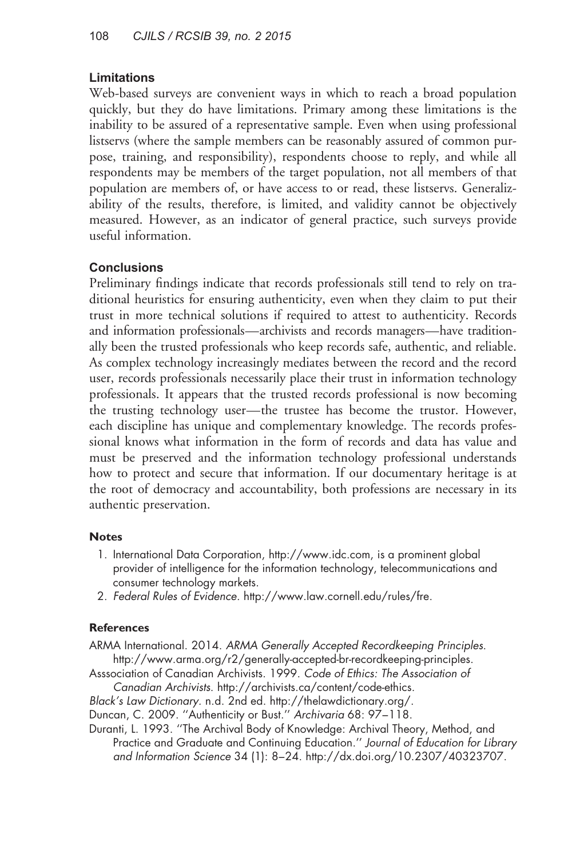# <span id="page-12-0"></span>Limitations

Web-based surveys are convenient ways in which to reach a broad population quickly, but they do have limitations. Primary among these limitations is the inability to be assured of a representative sample. Even when using professional listservs (where the sample members can be reasonably assured of common purpose, training, and responsibility), respondents choose to reply, and while all respondents may be members of the target population, not all members of that population are members of, or have access to or read, these listservs. Generalizability of the results, therefore, is limited, and validity cannot be objectively measured. However, as an indicator of general practice, such surveys provide useful information.

# **Conclusions**

Preliminary findings indicate that records professionals still tend to rely on traditional heuristics for ensuring authenticity, even when they claim to put their trust in more technical solutions if required to attest to authenticity. Records and information professionals—archivists and records managers—have traditionally been the trusted professionals who keep records safe, authentic, and reliable. As complex technology increasingly mediates between the record and the record user, records professionals necessarily place their trust in information technology professionals. It appears that the trusted records professional is now becoming the trusting technology user—the trustee has become the trustor. However, each discipline has unique and complementary knowledge. The records professional knows what information in the form of records and data has value and must be preserved and the information technology professional understands how to protect and secure that information. If our documentary heritage is at the root of democracy and accountability, both professions are necessary in its authentic preservation.

# Notes

- 1. International Data Corporation, [http://www.idc.com,](http://www.idc.com) is a prominent global provider of intelligence for the information technology, telecommunications and consumer technology markets.
- 2. Federal Rules of Evidence.<http://www.law.cornell.edu/rules/fre>.

# **References**

ARMA International. 2014. ARMA Generally Accepted Recordkeeping Principles. [http://www.arma.org/r2/generally-accepted-br-recordkeeping-principles.](http://www.arma.org/r2/generally-accepted-br-recordkeeping-principles)

Asssociation of Canadian Archivists. 1999. Code of Ethics: The Association of Canadian Archivists. [http://archivists.ca/content/code-ethics.](http://archivists.ca/content/code-ethics)

Black's Law Dictionary. n.d. 2nd ed. http://thelawdictionary.org/.

Duncan, C. 2009. ''Authenticity or Bust.'' Archivaria 68: 97–118.

Duranti, L. 1993. ''The Archival Body of Knowledge: Archival Theory, Method, and Practice and Graduate and Continuing Education.'' Journal of Education for Library and Information Science 34 (1): 8–24. [http://dx.doi.org/10.2307/40323707.](http://dx.doi.org/10.2307/40323707)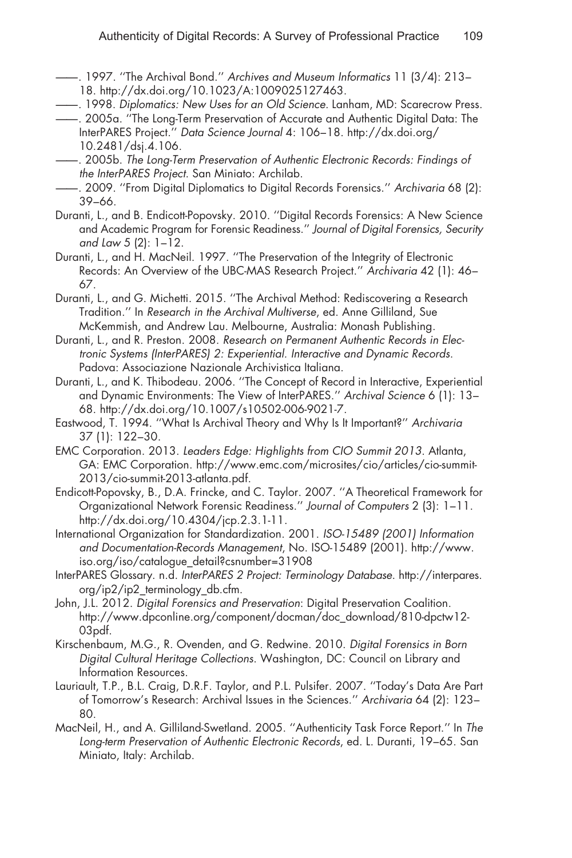- <span id="page-13-0"></span>——. 1997. ''The Archival Bond.'' Archives and Museum Informatics 11 (3/4): 213– 18. [http://dx.doi.org/10.1023/A:1009025127463.](http://dx.doi.org/10.1023/A:1009025127463)
- ——. 1998. Diplomatics: New Uses for an Old Science. Lanham, MD: Scarecrow Press.
- ——. 2005a. ''The Long-Term Preservation of Accurate and Authentic Digital Data: The InterPARES Project.'' Data Science Journal 4: 106–18. [http://dx.doi.org/](http://dx.doi.org/10.2481/dsj.4.106) [10.2481/dsj.4.106.](http://dx.doi.org/10.2481/dsj.4.106)
- ——. 2005b. The Long-Term Preservation of Authentic Electronic Records: Findings of the InterPARES Project. San Miniato: Archilab.
- ——. 2009. ''From Digital Diplomatics to Digital Records Forensics.'' Archivaria 68 (2): 39–66.
- Duranti, L., and B. Endicott-Popovsky. 2010. ''Digital Records Forensics: A New Science and Academic Program for Forensic Readiness.'' Journal of Digital Forensics, Security and Law 5 (2): 1–12.
- Duranti, L., and H. MacNeil. 1997. ''The Preservation of the Integrity of Electronic Records: An Overview of the UBC-MAS Research Project.'' Archivaria 42 (1): 46– 67.
- Duranti, L., and G. Michetti. 2015. ''The Archival Method: Rediscovering a Research Tradition.'' In Research in the Archival Multiverse, ed. Anne Gilliland, Sue McKemmish, and Andrew Lau. Melbourne, Australia: Monash Publishing.
- Duranti, L., and R. Preston. 2008. Research on Permanent Authentic Records in Electronic Systems (InterPARES) 2: Experiential. Interactive and Dynamic Records. Padova: Associazione Nazionale Archivistica Italiana.
- Duranti, L., and K. Thibodeau. 2006. ''The Concept of Record in Interactive, Experiential and Dynamic Environments: The View of InterPARES.'' Archival Science 6 (1): 13– 68. [http://dx.doi.org/10.1007/s10502-006-9021-7.](http://dx.doi.org/10.1007/s10502-006-9021-7)
- Eastwood, T. 1994. ''What Is Archival Theory and Why Is It Important?'' Archivaria 37 (1): 122–30.
- EMC Corporation. 2013. Leaders Edge: Highlights from CIO Summit 2013. Atlanta, GA: EMC Corporation. [http://www.emc.com/microsites/cio/articles/cio-summit-](http://www.emc.com/microsites/cio/articles/cio-summit-2013/cio-summit-2013-atlanta.pdf)[2013/cio-summit-2013-atlanta.pdf](http://www.emc.com/microsites/cio/articles/cio-summit-2013/cio-summit-2013-atlanta.pdf).
- Endicott-Popovsky, B., D.A. Frincke, and C. Taylor. 2007. ''A Theoretical Framework for Organizational Network Forensic Readiness.'' Journal of Computers 2 (3): 1–11. [http://dx.doi.org/10.4304/jcp.2.3.1-11.](http://dx.doi.org/10.4304/jcp.2.3.1-11)
- International Organization for Standardization. 2001. ISO-15489 (2001) Information and Documentation-Records Management, No. ISO-15489 (2001). [http://www.](http://www.iso.org/iso/catalogue_detail?csnumber=31908) [iso.org/iso/catalogue\\_detail?csnumber=31908](http://www.iso.org/iso/catalogue_detail?csnumber=31908)
- InterPARES Glossary. n.d. InterPARES 2 Project: Terminology Database. [http://interpares.](http://interpares.org/ip2/ip2_terminology_db.cfm) [org/ip2/ip2\\_terminology\\_db.cfm.](http://interpares.org/ip2/ip2_terminology_db.cfm)
- John, J.L. 2012. Digital Forensics and Preservation: Digital Preservation Coalition. [http://www.dpconline.org/component/docman/doc\\_download/810-dpctw12-](http://www.dpconline.org/component/docman/doc_download/810-dpctw12-03pdf) [03pdf](http://www.dpconline.org/component/docman/doc_download/810-dpctw12-03pdf).
- Kirschenbaum, M.G., R. Ovenden, and G. Redwine. 2010. Digital Forensics in Born Digital Cultural Heritage Collections. Washington, DC: Council on Library and Information Resources.
- Lauriault, T.P., B.L. Craig, D.R.F. Taylor, and P.L. Pulsifer. 2007. ''Today's Data Are Part of Tomorrow's Research: Archival Issues in the Sciences.'' Archivaria 64 (2): 123– 80.
- MacNeil, H., and A. Gilliland-Swetland. 2005. ''Authenticity Task Force Report.'' In The Long-term Preservation of Authentic Electronic Records, ed. L. Duranti, 19–65. San Miniato, Italy: Archilab.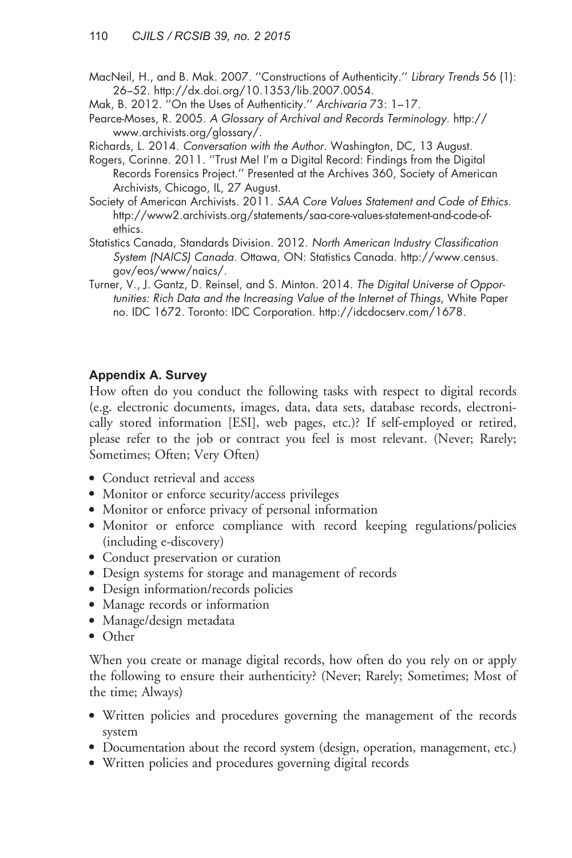- <span id="page-14-0"></span>MacNeil, H., and B. Mak. 2007. ''Constructions of Authenticity.'' Library Trends 56 (1): 26–52.<http://dx.doi.org/10.1353/lib.2007.0054>.
- Mak, B. 2012. ''On the Uses of Authenticity.'' Archivaria 73: 1–17.
- Pearce-Moses, R. 2005. A Glossary of Archival and Records Terminology. [http://](http://www.archivists.org/glossary/) [www.archivists.org/glossary/.](http://www.archivists.org/glossary/)
- Richards, L. 2014. Conversation with the Author. Washington, DC, 13 August.
- Rogers, Corinne. 2011. ''Trust Me! I'm a Digital Record: Findings from the Digital Records Forensics Project.'' Presented at the Archives 360, Society of American Archivists, Chicago, IL, 27 August.
- Society of American Archivists. 2011. SAA Core Values Statement and Code of Ethics. [http://www2.archivists.org/statements/saa-core-values-statement-and-code-of](http://www2.archivists.org/statements/saa-core-values-statement-and-code-of-ethics)[ethics.](http://www2.archivists.org/statements/saa-core-values-statement-and-code-of-ethics)
- Statistics Canada, Standards Division. 2012. North American Industry Classification System (NAICS) Canada. Ottawa, ON: Statistics Canada. [http://www.census.](http://www.census.gov/eos/www/naics/) [gov/eos/www/naics/](http://www.census.gov/eos/www/naics/).
- Turner, V., J. Gantz, D. Reinsel, and S. Minton. 2014. The Digital Universe of Opportunities: Rich Data and the Increasing Value of the Internet of Things, White Paper no. IDC 1672. Toronto: IDC Corporation. http://idcdocserv.com/1678.

# Appendix A. Survey

How often do you conduct the following tasks with respect to digital records (e.g. electronic documents, images, data, data sets, database records, electronically stored information [ESI], web pages, etc.)? If self-employed or retired, please refer to the job or contract you feel is most relevant. (Never; Rarely; Sometimes; Often; Very Often)

- Conduct retrieval and access
- Monitor or enforce security/access privileges
- Monitor or enforce privacy of personal information
- Monitor or enforce compliance with record keeping regulations/policies (including e-discovery)
- Conduct preservation or curation
- Design systems for storage and management of records
- Design information/records policies
- Manage records or information
- Manage/design metadata
- Other

When you create or manage digital records, how often do you rely on or apply the following to ensure their authenticity? (Never; Rarely; Sometimes; Most of the time; Always)

- Written policies and procedures governing the management of the records system
- Documentation about the record system (design, operation, management, etc.)
- Written policies and procedures governing digital records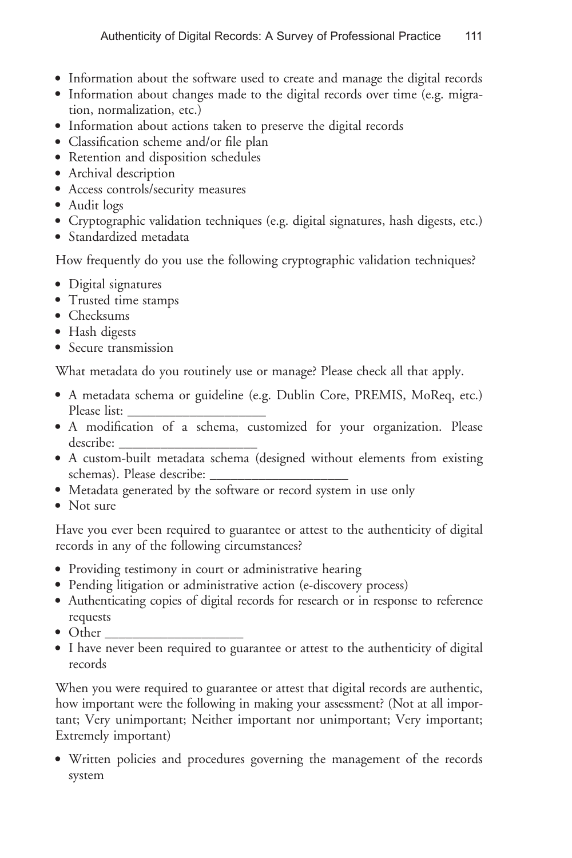- Information about the software used to create and manage the digital records
- Information about changes made to the digital records over time (e.g. migration, normalization, etc.)
- Information about actions taken to preserve the digital records
- Classification scheme and/or file plan
- Retention and disposition schedules
- Archival description
- Access controls/security measures
- Audit logs
- Cryptographic validation techniques (e.g. digital signatures, hash digests, etc.)
- Standardized metadata

How frequently do you use the following cryptographic validation techniques?

- Digital signatures
- Trusted time stamps
- Checksums
- Hash digests
- Secure transmission

What metadata do you routinely use or manage? Please check all that apply.

- A metadata schema or guideline (e.g. Dublin Core, PREMIS, MoReq, etc.) Please list:
- A modification of a schema, customized for your organization. Please describe:
- A custom-built metadata schema (designed without elements from existing schemas). Please describe: \_
- Metadata generated by the software or record system in use only
- Not sure

Have you ever been required to guarantee or attest to the authenticity of digital records in any of the following circumstances?

- Providing testimony in court or administrative hearing
- Pending litigation or administrative action (e-discovery process)
- Authenticating copies of digital records for research or in response to reference requests
- Other \_\_\_\_\_\_\_\_\_\_\_\_\_\_\_\_\_\_\_\_
- I have never been required to guarantee or attest to the authenticity of digital records

When you were required to guarantee or attest that digital records are authentic, how important were the following in making your assessment? (Not at all important; Very unimportant; Neither important nor unimportant; Very important; Extremely important)

- Written policies and procedures governing the management of the records system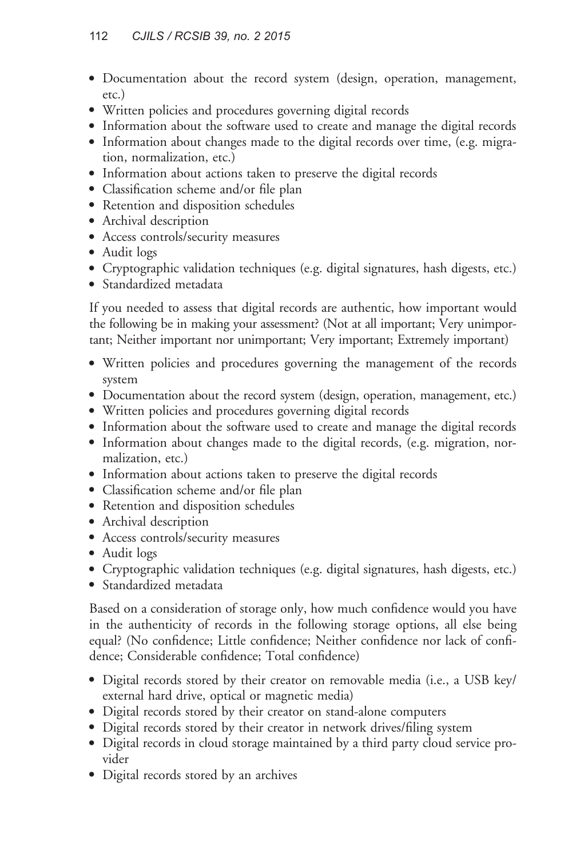- Documentation about the record system (design, operation, management, etc.)
- Written policies and procedures governing digital records
- Information about the software used to create and manage the digital records
- Information about changes made to the digital records over time, (e.g. migration, normalization, etc.)
- Information about actions taken to preserve the digital records
- Classification scheme and/or file plan
- Retention and disposition schedules
- Archival description
- Access controls/security measures
- Audit logs
- Cryptographic validation techniques (e.g. digital signatures, hash digests, etc.)
- Standardized metadata

If you needed to assess that digital records are authentic, how important would the following be in making your assessment? (Not at all important; Very unimportant; Neither important nor unimportant; Very important; Extremely important)

- Written policies and procedures governing the management of the records system
- Documentation about the record system (design, operation, management, etc.)
- Written policies and procedures governing digital records
- Information about the software used to create and manage the digital records
- Information about changes made to the digital records, (e.g. migration, normalization, etc.)
- Information about actions taken to preserve the digital records
- Classification scheme and/or file plan
- Retention and disposition schedules
- Archival description
- Access controls/security measures
- Audit logs
- Cryptographic validation techniques (e.g. digital signatures, hash digests, etc.)
- Standardized metadata

Based on a consideration of storage only, how much confidence would you have in the authenticity of records in the following storage options, all else being equal? (No confidence; Little confidence; Neither confidence nor lack of confidence; Considerable confidence; Total confidence)

- Digital records stored by their creator on removable media (i.e., a USB key/ external hard drive, optical or magnetic media)
- Digital records stored by their creator on stand-alone computers
- Digital records stored by their creator in network drives/filing system
- Digital records in cloud storage maintained by a third party cloud service provider
- Digital records stored by an archives